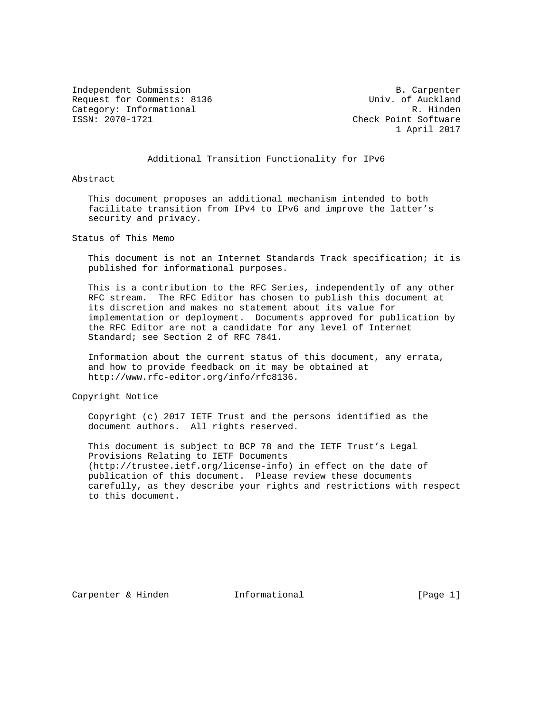Independent Submission B. Carpenter Request for Comments: 8136 Univ. of Auckland<br>Category: Informational R. Hinden Category: Informational<br>ISSN: 2070-1721

Check Point Software 1 April 2017

### Additional Transition Functionality for IPv6

Abstract

 This document proposes an additional mechanism intended to both facilitate transition from IPv4 to IPv6 and improve the latter's security and privacy.

Status of This Memo

 This document is not an Internet Standards Track specification; it is published for informational purposes.

 This is a contribution to the RFC Series, independently of any other RFC stream. The RFC Editor has chosen to publish this document at its discretion and makes no statement about its value for implementation or deployment. Documents approved for publication by the RFC Editor are not a candidate for any level of Internet Standard; see Section 2 of RFC 7841.

 Information about the current status of this document, any errata, and how to provide feedback on it may be obtained at http://www.rfc-editor.org/info/rfc8136.

Copyright Notice

 Copyright (c) 2017 IETF Trust and the persons identified as the document authors. All rights reserved.

 This document is subject to BCP 78 and the IETF Trust's Legal Provisions Relating to IETF Documents (http://trustee.ietf.org/license-info) in effect on the date of publication of this document. Please review these documents carefully, as they describe your rights and restrictions with respect to this document.

Carpenter & Hinden **Informational** [Page 1]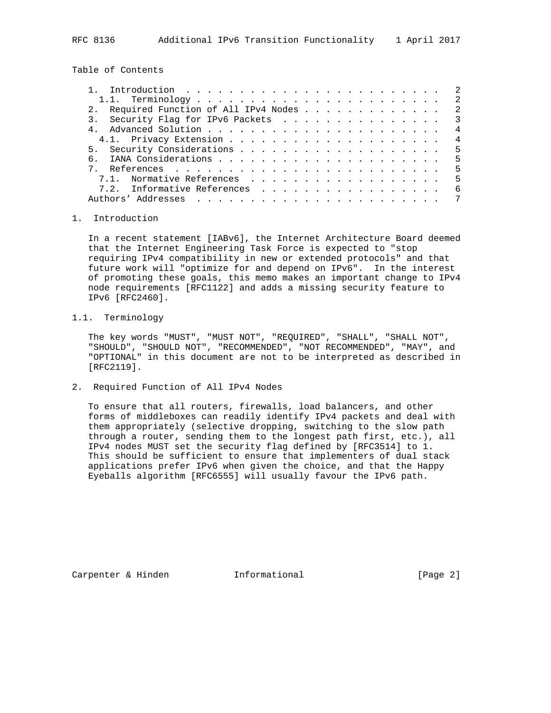RFC 8136 Additional IPv6 Transition Functionality 1 April 2017

Table of Contents

| 2. Required Function of All IPv4 Nodes 2 |                |
|------------------------------------------|----------------|
| 3. Security Flag for IPv6 Packets 3      |                |
|                                          | $\overline{4}$ |
|                                          |                |
|                                          |                |
|                                          |                |
|                                          | 5              |
| 7.1. Normative References                | - 5            |
| 7.2. Informative References              | - 6            |
|                                          |                |
|                                          |                |

#### 1. Introduction

 In a recent statement [IABv6], the Internet Architecture Board deemed that the Internet Engineering Task Force is expected to "stop requiring IPv4 compatibility in new or extended protocols" and that future work will "optimize for and depend on IPv6". In the interest of promoting these goals, this memo makes an important change to IPv4 node requirements [RFC1122] and adds a missing security feature to IPv6 [RFC2460].

## 1.1. Terminology

 The key words "MUST", "MUST NOT", "REQUIRED", "SHALL", "SHALL NOT", "SHOULD", "SHOULD NOT", "RECOMMENDED", "NOT RECOMMENDED", "MAY", and "OPTIONAL" in this document are not to be interpreted as described in [RFC2119].

2. Required Function of All IPv4 Nodes

 To ensure that all routers, firewalls, load balancers, and other forms of middleboxes can readily identify IPv4 packets and deal with them appropriately (selective dropping, switching to the slow path through a router, sending them to the longest path first, etc.), all IPv4 nodes MUST set the security flag defined by [RFC3514] to 1. This should be sufficient to ensure that implementers of dual stack applications prefer IPv6 when given the choice, and that the Happy Eyeballs algorithm [RFC6555] will usually favour the IPv6 path.

Carpenter & Hinden **Informational** [Page 2]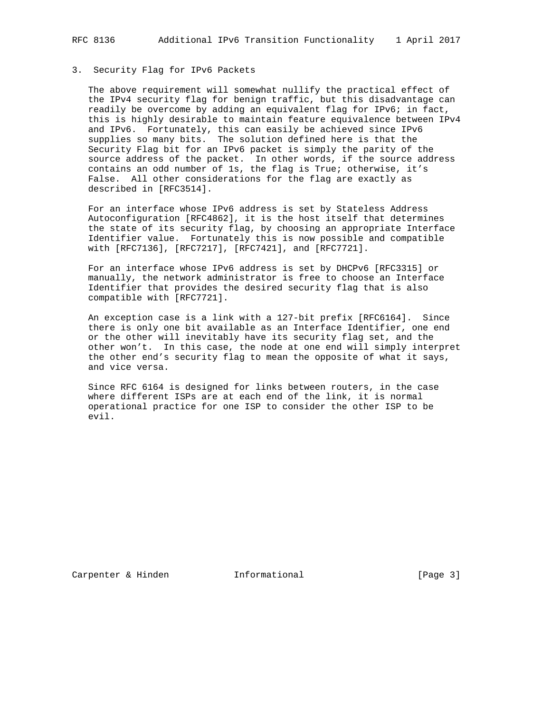#### 3. Security Flag for IPv6 Packets

 The above requirement will somewhat nullify the practical effect of the IPv4 security flag for benign traffic, but this disadvantage can readily be overcome by adding an equivalent flag for IPv6; in fact, this is highly desirable to maintain feature equivalence between IPv4 and IPv6. Fortunately, this can easily be achieved since IPv6 supplies so many bits. The solution defined here is that the Security Flag bit for an IPv6 packet is simply the parity of the source address of the packet. In other words, if the source address contains an odd number of 1s, the flag is True; otherwise, it's False. All other considerations for the flag are exactly as described in [RFC3514].

 For an interface whose IPv6 address is set by Stateless Address Autoconfiguration [RFC4862], it is the host itself that determines the state of its security flag, by choosing an appropriate Interface Identifier value. Fortunately this is now possible and compatible with [RFC7136], [RFC7217], [RFC7421], and [RFC7721].

 For an interface whose IPv6 address is set by DHCPv6 [RFC3315] or manually, the network administrator is free to choose an Interface Identifier that provides the desired security flag that is also compatible with [RFC7721].

 An exception case is a link with a 127-bit prefix [RFC6164]. Since there is only one bit available as an Interface Identifier, one end or the other will inevitably have its security flag set, and the other won't. In this case, the node at one end will simply interpret the other end's security flag to mean the opposite of what it says, and vice versa.

 Since RFC 6164 is designed for links between routers, in the case where different ISPs are at each end of the link, it is normal operational practice for one ISP to consider the other ISP to be evil.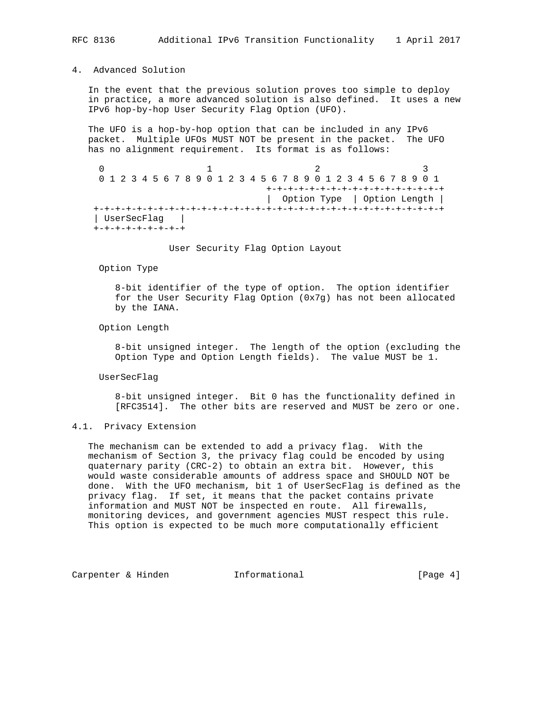# 4. Advanced Solution

 In the event that the previous solution proves too simple to deploy in practice, a more advanced solution is also defined. It uses a new IPv6 hop-by-hop User Security Flag Option (UFO).

 The UFO is a hop-by-hop option that can be included in any IPv6 packet. Multiple UFOs MUST NOT be present in the packet. The UFO has no alignment requirement. Its format is as follows:

 $0$  1 2 3 0 1 2 3 4 5 6 7 8 9 0 1 2 3 4 5 6 7 8 9 0 1 2 3 4 5 6 7 8 9 0 1 +-+-+-+-+-+-+-+-+-+-+-+-+-+-+-+-+ | Option Type | Option Length | +-+-+-+-+-+-+-+-+-+-+-+-+-+-+-+-+-+-+-+-+-+-+-+-+-+-+-+-+-+-+-+-+ | UserSecFlag | +-+-+-+-+-+-+-+-+

User Security Flag Option Layout

Option Type

 8-bit identifier of the type of option. The option identifier for the User Security Flag Option (0x7g) has not been allocated by the IANA.

Option Length

 8-bit unsigned integer. The length of the option (excluding the Option Type and Option Length fields). The value MUST be 1.

UserSecFlag

 8-bit unsigned integer. Bit 0 has the functionality defined in [RFC3514]. The other bits are reserved and MUST be zero or one.

## 4.1. Privacy Extension

 The mechanism can be extended to add a privacy flag. With the mechanism of Section 3, the privacy flag could be encoded by using quaternary parity (CRC-2) to obtain an extra bit. However, this would waste considerable amounts of address space and SHOULD NOT be done. With the UFO mechanism, bit 1 of UserSecFlag is defined as the privacy flag. If set, it means that the packet contains private information and MUST NOT be inspected en route. All firewalls, monitoring devices, and government agencies MUST respect this rule. This option is expected to be much more computationally efficient

Carpenter & Hinden Theormational Theormational [Page 4]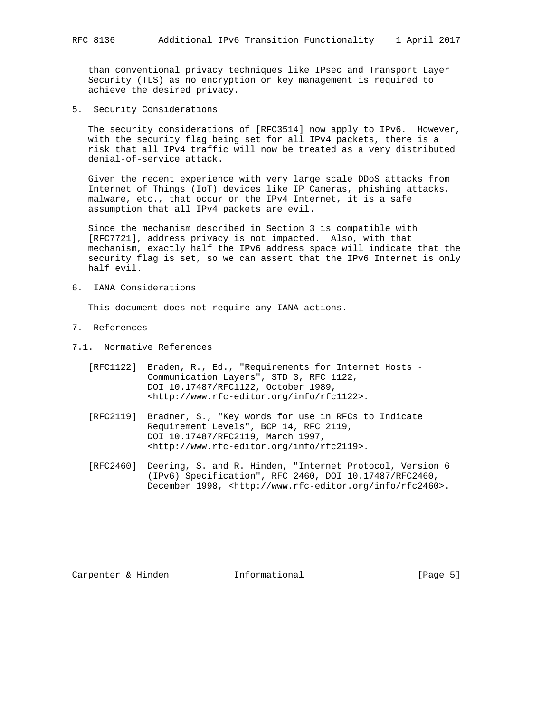than conventional privacy techniques like IPsec and Transport Layer Security (TLS) as no encryption or key management is required to achieve the desired privacy.

5. Security Considerations

The security considerations of [RFC3514] now apply to IPv6. However, with the security flag being set for all IPv4 packets, there is a risk that all IPv4 traffic will now be treated as a very distributed denial-of-service attack.

 Given the recent experience with very large scale DDoS attacks from Internet of Things (IoT) devices like IP Cameras, phishing attacks, malware, etc., that occur on the IPv4 Internet, it is a safe assumption that all IPv4 packets are evil.

 Since the mechanism described in Section 3 is compatible with [RFC7721], address privacy is not impacted. Also, with that mechanism, exactly half the IPv6 address space will indicate that the security flag is set, so we can assert that the IPv6 Internet is only half evil.

6. IANA Considerations

This document does not require any IANA actions.

- 7. References
- 7.1. Normative References
	- [RFC1122] Braden, R., Ed., "Requirements for Internet Hosts Communication Layers", STD 3, RFC 1122, DOI 10.17487/RFC1122, October 1989, <http://www.rfc-editor.org/info/rfc1122>.
	- [RFC2119] Bradner, S., "Key words for use in RFCs to Indicate Requirement Levels", BCP 14, RFC 2119, DOI 10.17487/RFC2119, March 1997, <http://www.rfc-editor.org/info/rfc2119>.
	- [RFC2460] Deering, S. and R. Hinden, "Internet Protocol, Version 6 (IPv6) Specification", RFC 2460, DOI 10.17487/RFC2460, December 1998, <http://www.rfc-editor.org/info/rfc2460>.

Carpenter & Hinden Thermational (Page 5)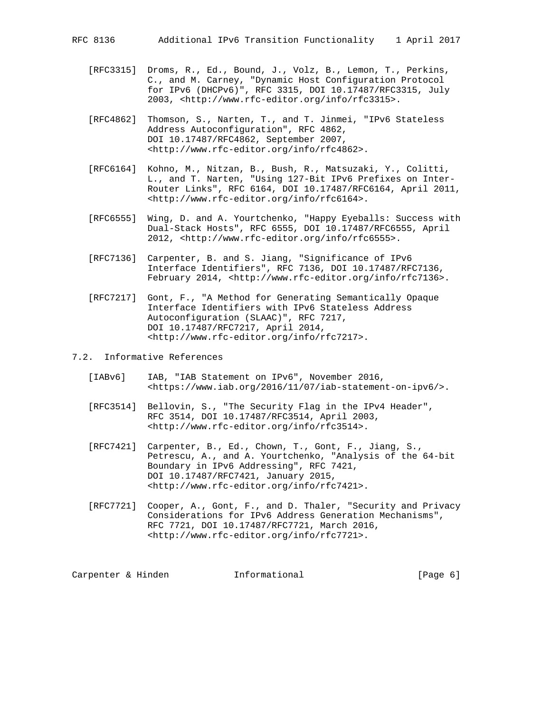- [RFC3315] Droms, R., Ed., Bound, J., Volz, B., Lemon, T., Perkins, C., and M. Carney, "Dynamic Host Configuration Protocol for IPv6 (DHCPv6)", RFC 3315, DOI 10.17487/RFC3315, July 2003, <http://www.rfc-editor.org/info/rfc3315>.
	- [RFC4862] Thomson, S., Narten, T., and T. Jinmei, "IPv6 Stateless Address Autoconfiguration", RFC 4862, DOI 10.17487/RFC4862, September 2007, <http://www.rfc-editor.org/info/rfc4862>.
	- [RFC6164] Kohno, M., Nitzan, B., Bush, R., Matsuzaki, Y., Colitti, L., and T. Narten, "Using 127-Bit IPv6 Prefixes on Inter- Router Links", RFC 6164, DOI 10.17487/RFC6164, April 2011, <http://www.rfc-editor.org/info/rfc6164>.
	- [RFC6555] Wing, D. and A. Yourtchenko, "Happy Eyeballs: Success with Dual-Stack Hosts", RFC 6555, DOI 10.17487/RFC6555, April 2012, <http://www.rfc-editor.org/info/rfc6555>.
	- [RFC7136] Carpenter, B. and S. Jiang, "Significance of IPv6 Interface Identifiers", RFC 7136, DOI 10.17487/RFC7136, February 2014, <http://www.rfc-editor.org/info/rfc7136>.
	- [RFC7217] Gont, F., "A Method for Generating Semantically Opaque Interface Identifiers with IPv6 Stateless Address Autoconfiguration (SLAAC)", RFC 7217, DOI 10.17487/RFC7217, April 2014, <http://www.rfc-editor.org/info/rfc7217>.
- 7.2. Informative References
	- [IABv6] IAB, "IAB Statement on IPv6", November 2016, <https://www.iab.org/2016/11/07/iab-statement-on-ipv6/>.
	- [RFC3514] Bellovin, S., "The Security Flag in the IPv4 Header", RFC 3514, DOI 10.17487/RFC3514, April 2003, <http://www.rfc-editor.org/info/rfc3514>.
	- [RFC7421] Carpenter, B., Ed., Chown, T., Gont, F., Jiang, S., Petrescu, A., and A. Yourtchenko, "Analysis of the 64-bit Boundary in IPv6 Addressing", RFC 7421, DOI 10.17487/RFC7421, January 2015, <http://www.rfc-editor.org/info/rfc7421>.
	- [RFC7721] Cooper, A., Gont, F., and D. Thaler, "Security and Privacy Considerations for IPv6 Address Generation Mechanisms", RFC 7721, DOI 10.17487/RFC7721, March 2016, <http://www.rfc-editor.org/info/rfc7721>.

Carpenter & Hinden Thermational (Page 6)